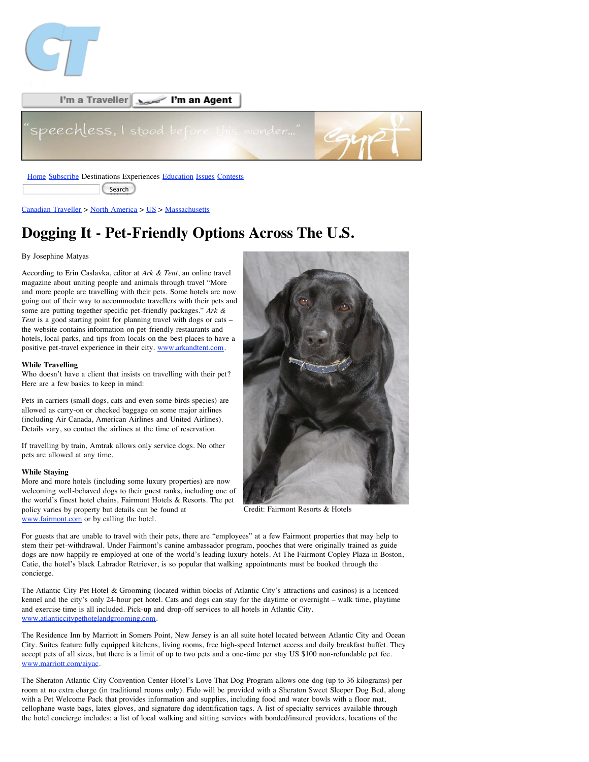



Search

Canadian Traveller > North America > US > Massachusetts

# **Dogging It - Pet-Friendly Options Across The U.S.**

## By Josephine Matyas

According to Erin Caslavka, editor at *Ark & Tent*, an online travel magazine about uniting people and animals through travel "More and more people are travelling with their pets. Some hotels are now going out of their way to accommodate travellers with their pets and some are putting together specific pet-friendly packages." *Ark & Tent* is a good starting point for planning travel with dogs or cats – the website contains information on pet-friendly restaurants and hotels, local parks, and tips from locals on the best places to have a positive pet-travel experience in their city. www.arkandtent.com.

#### **While Travelling**

Who doesn't have a client that insists on travelling with their pet? Here are a few basics to keep in mind:

Pets in carriers (small dogs, cats and even some birds species) are allowed as carry-on or checked baggage on some major airlines (including Air Canada, American Airlines and United Airlines). Details vary, so contact the airlines at the time of reservation.

If travelling by train, Amtrak allows only service dogs. No other pets are allowed at any time.

## **While Staying**

More and more hotels (including some luxury properties) are now welcoming well-behaved dogs to their guest ranks, including one of the world's finest hotel chains, Fairmont Hotels & Resorts. The pet policy varies by property but details can be found at www.fairmont.com or by calling the hotel.



Credit: Fairmont Resorts & Hotels

For guests that are unable to travel with their pets, there are "employees" at a few Fairmont properties that may help to stem their pet-withdrawal. Under Fairmont's canine ambassador program, pooches that were originally trained as guide dogs are now happily re-employed at one of the world's leading luxury hotels. At The Fairmont Copley Plaza in Boston, Catie, the hotel's black Labrador Retriever, is so popular that walking appointments must be booked through the concierge.

The Atlantic City Pet Hotel & Grooming (located within blocks of Atlantic City's attractions and casinos) is a licenced kennel and the city's only 24-hour pet hotel. Cats and dogs can stay for the daytime or overnight – walk time, playtime and exercise time is all included. Pick-up and drop-off services to all hotels in Atlantic City. www.atlanticcitypethotelandgrooming.com.

The Residence Inn by Marriott in Somers Point, New Jersey is an all suite hotel located between Atlantic City and Ocean City. Suites feature fully equipped kitchens, living rooms, free high-speed Internet access and daily breakfast buffet. They accept pets of all sizes, but there is a limit of up to two pets and a one-time per stay US \$100 non-refundable pet fee. www.marriott.com/aiyac.

The Sheraton Atlantic City Convention Center Hotel's Love That Dog Program allows one dog (up to 36 kilograms) per room at no extra charge (in traditional rooms only). Fido will be provided with a Sheraton Sweet Sleeper Dog Bed, along with a Pet Welcome Pack that provides information and supplies, including food and water bowls with a floor mat, cellophane waste bags, latex gloves, and signature dog identification tags. A list of specialty services available through the hotel concierge includes: a list of local walking and sitting services with bonded/insured providers, locations of the